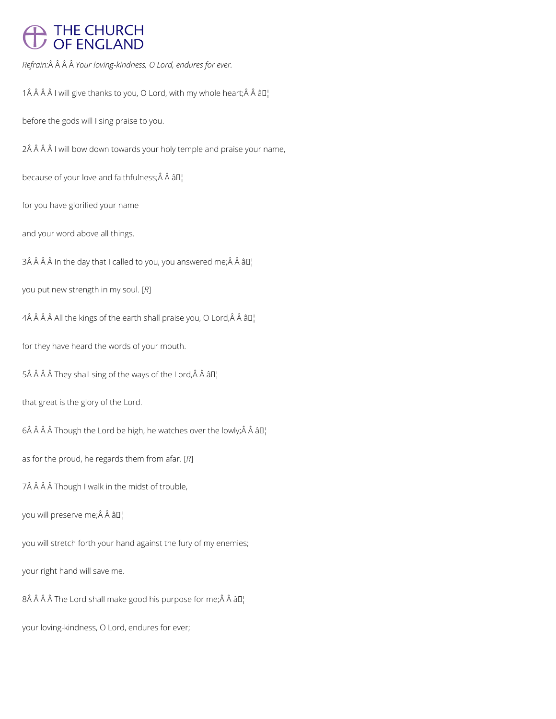## THE CHURCH<br>OF ENGLAND

*Refrain: Your loving-kindness, O Lord, endures for ever.*

1 $\hat{A}$   $\hat{A}$   $\hat{A}$   $\hat{A}$  I will give thanks to you, O Lord, with my whole heart; $\hat{A}$   $\hat{A}$   $\hat{a}$   $\Box$ 

before the gods will I sing praise to you.

2Â Â Â Â I will bow down towards your holy temple and praise your name,

because of your love and faithfulness;  $\hat{A}$   $\hat{A}$   $\hat{a}$   $\Gamma$ 

for you have glorified your name

and your word above all things.

 $3\hat{A}$   $\hat{A}$   $\hat{A}$   $\hat{A}$  in the day that I called to you, you answered me; $\hat{A}$   $\hat{A}$   $\hat{a}$   $\Box$ 

you put new strength in my soul. [*R*]

 $4\hat{A}$   $\hat{A}$   $\hat{A}$   $\hat{A}$  All the kings of the earth shall praise you, O Lord, $\hat{A}$   $\hat{A}$   $\hat{a}$   $\Box$ 

for they have heard the words of your mouth.

 $5\hat{A}$   $\hat{A}$   $\hat{A}$   $\hat{A}$  They shall sing of the ways of the Lord, $\hat{A}$   $\hat{A}$   $\hat{a}$   $\Box$ 

that great is the glory of the Lord.

 $6\hat{A}$   $\hat{A}$   $\hat{A}$   $\hat{A}$  Though the Lord be high, he watches over the lowly; $\hat{A}$   $\hat{A}$   $\hat{a}$   $\Box$ 

as for the proud, he regards them from afar. [*R*]

7Â Â Â Â Though I walk in the midst of trouble,

you will preserve me;Â Â â []

you will stretch forth your hand against the fury of my enemies;

your right hand will save me.

8Â Â Â Â The Lord shall make good his purpose for me; Â Â â D¦

your loving-kindness, O Lord, endures for ever;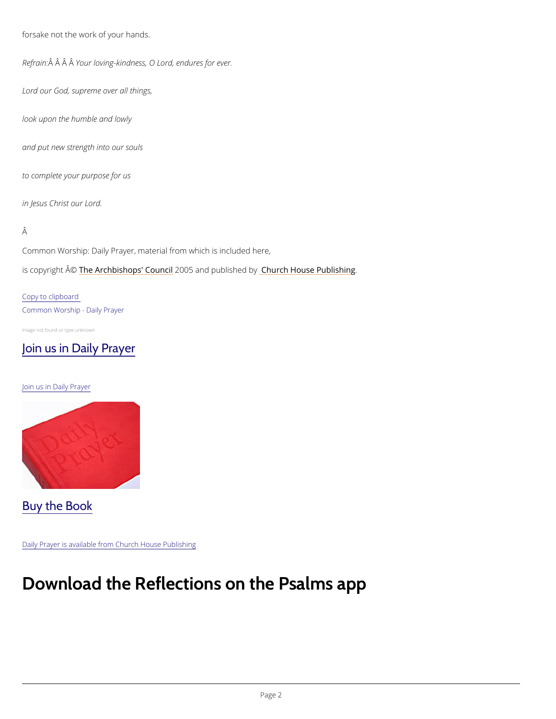forsake not the work of your hands.

Refra $\hat{A}$ in $\hat{A}$ :  $\hat{A}$ Y $\hat{A}$ ur loving-kindness, O Lord, endures for ever.

Lord our God, supreme over all things,

Common Worship: Daily Prayer, material from which is included here, is copyrighth  $\hat{\mathbb{A}}$  @Archbishops' 2000 u5 n and publish hend roby House Publishing

look upon the humble and lowly

and put new strength into our souls

to complete your purpose for us

in Jesus Christ our Lord.

Â

Copy to clipboard Common Worship - Daily Prayer

Image not found or type unknown

[Join us in Daily Prayer](https://www.churchofengland.org/prayer-and-worship/join-us-in-daily-prayer)

Join us in Daily Prayer

Buy the Book

## Download the Reflections on the Psalms a